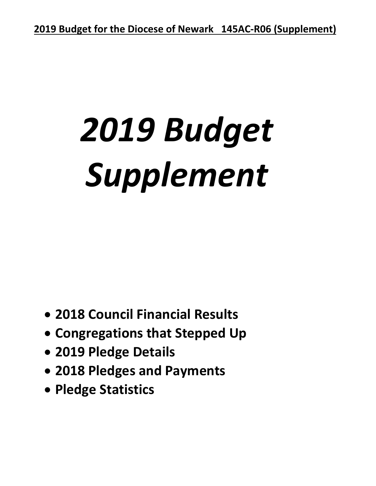# *2019 Budget Supplement*

- **2018 Council Financial Results**
- **Congregations that Stepped Up**
- **2019 Pledge Details**
- **2018 Pledges and Payments**
- **Pledge Statistics**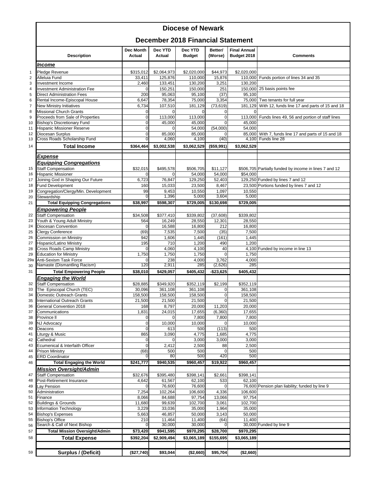#### **Diocese of Newark**

#### **December 2018 Financial Statement**

|                     |                                                            |                            |                       | December 2010 Financial Statement |                       |                                    |                                                        |
|---------------------|------------------------------------------------------------|----------------------------|-----------------------|-----------------------------------|-----------------------|------------------------------------|--------------------------------------------------------|
|                     | <b>Description</b>                                         | Dec Month<br><b>Actual</b> | Dec YTD<br>Actual     | Dec YTD<br><b>Budget</b>          | Better/<br>(Worse)    | <b>Final Annual</b><br>Budget 2018 | <b>Comments</b>                                        |
|                     | Income                                                     |                            |                       |                                   |                       |                                    |                                                        |
| $\mathbf{1}$        | Pledge Revenue                                             | \$315,012                  | \$2,064,973           | \$2,020,000                       | \$44,973              | \$2,020,000                        |                                                        |
| $\overline{2}$      | Alleluia Fund                                              | 33,411                     | 125,876               | 110,000                           | 15,876                |                                    | 110,000 Funds portion of lines 34 and 35               |
| 3                   | Investment Income                                          | 2,460                      | 133,451               | 130,200                           | 3,251                 | 130,200                            |                                                        |
| 4                   | <b>Investment Administration Fee</b>                       | 0                          | 150,251               | 150,000                           | 251                   |                                    | 150,000 25 basis points fee                            |
| $\sqrt{5}$          | <b>Direct Administration Fees</b>                          | 200                        | 95,063                | 95,100                            | (37)                  | 95,100                             |                                                        |
| 6                   | Rental Income-Episcopal House                              | 6,647                      | 78,354<br>107,510     | 75,000<br>181,129                 | 3,354                 | 181,129                            | 75,000 Two tenants for full year                       |
| $\overline{7}$<br>8 | New Ministry Initiatives<br><b>Missional Church Grants</b> | 6,734<br>0                 | $\Omega$              | $\mathbf 0$                       | (73, 619)<br>$\Omega$ |                                    | With 12, funds line 17 and parts of 15 and 18          |
| 9                   | Proceeds from Sale of Properties                           | $\mathbf 0$                | 113,000               | 113,000                           | $\Omega$              | 113,000                            | Funds lines 49, 56 and portion of staff lines          |
| 10                  | Bishop's Discretionary Fund                                | $\mathbf 0$                | 45,000                | 45,000                            | $\Omega$              | 45,000                             |                                                        |
| 11                  | <b>Hispanic Missioner Reserve</b>                          | $\mathbf 0$                | $\Omega$              | 54,000                            | (54,000)              | 54,000                             |                                                        |
| 12                  | Diocesan Surplus                                           | $\overline{0}$             | 85,000                | 85,000                            |                       | 85,000                             | With 7, funds line 17 and parts of 15 and 18           |
| 13                  | Cross Roads Scholarship Fund                               | $\Omega$                   | 4,060                 | 4,100                             | (40)                  | 4,100                              | Funds line 28                                          |
| 14                  | <b>Total Income</b>                                        | \$364,464                  | \$3,002,538           | \$3,062,529                       | (\$59,991)            | \$3,062,529                        |                                                        |
|                     |                                                            |                            |                       |                                   |                       |                                    |                                                        |
|                     | <b>Expense</b>                                             |                            |                       |                                   |                       |                                    |                                                        |
|                     | <b>Equipping Congregations</b>                             |                            |                       |                                   |                       |                                    |                                                        |
| 15                  | <b>Staff Compensation</b><br><b>Hispanic Missioner</b>     | \$32,015                   | \$495,578<br>$\Omega$ | \$506,705                         | \$11,127              |                                    | \$506,705 Partially funded by income in lines 7 and 12 |
| 16<br>17            | Joining God in Shaping Our Future                          | 0<br>6,723                 | 76,847                | 54,000<br>129,250                 | 54,000<br>52,403      | \$54,000                           | 129,250 Funded by lines 7 and 12                       |
| 18                  | <b>Fund Development</b>                                    | 160                        | 15,033                | 23,500                            | 8,467                 |                                    | 23,500 Portions funded by lines 7 and 12               |
| 19                  | Congregation/Clergy/Min. Development                       | 99                         | 9,453                 | 10,550                            | 1,097                 | 10,550                             |                                                        |
| 20                  | Stewardship                                                | $\mathbf 0$                | 1,396                 | 5,000                             | 3,604                 | 5,000                              |                                                        |
| 21                  | <b>Total Equipping Congregations</b>                       | \$38,997                   | \$598,307             | \$729,005                         | \$130,698             | \$729,005                          |                                                        |
|                     | <b>Empowering People</b>                                   |                            |                       |                                   |                       |                                    |                                                        |
| 22                  | <b>Staff Compensation</b>                                  | \$34,508                   | \$377,410             | \$339,802                         | (37, 608)             | \$339,802                          |                                                        |
| 23                  | Youth & Young Adult Ministry                               | 564                        | 16,249                | 28,550                            | 12,301                | 28,550                             |                                                        |
| 24                  | Diocesan Convention                                        | $\mathbf 0$                | 16,588                | 16,800                            | 212                   | 16,800                             |                                                        |
| 25                  | <b>Clergy Conference</b>                                   | (69)                       | 7,535                 | 7,500                             | (35)                  | 7,500                              |                                                        |
| 26                  | Commission on Ministry                                     | 942                        | 1,606                 | 1,445                             | (161)                 | 1,445                              |                                                        |
| 27                  | Hispanic/Latino Ministry                                   | 195                        | 710                   | 1,200                             | 490                   | 1,200                              |                                                        |
| 28                  | Cross Roads Camp Ministry                                  | $\Omega$                   | 4,060                 | 4,100                             | 40                    |                                    | 4,100 Funded by income in line 13                      |
| 29                  | <b>Education for Ministry</b>                              | 1,750                      | 1,750                 | 1,750                             | $\Omega$              | 1,750                              |                                                        |
| 29a                 | Anti-Sexism Task Force<br>Namaste (Dismantling Racism)     | $\Omega$<br>120            | 238<br>2,911          | 4,000<br>285                      | 3,762<br>(2,626)      | 4,000<br>285                       |                                                        |
| 30<br>31            | <b>Total Empowering People</b>                             | \$38,010                   | \$429,057             | \$405,432                         | $-$ \$23,625          | \$405,432                          |                                                        |
|                     | <b>Engaging the World</b>                                  |                            |                       |                                   |                       |                                    |                                                        |
| 32                  | <b>Staff Compensation</b>                                  | \$28,885                   | \$349,920             | \$352,119                         | \$2,199               | \$352,119                          |                                                        |
| 33                  | The Episcopal Church (TEC)                                 | 30,096                     | 361,108               | 361,108                           | $\Omega$              | 361,108                            |                                                        |
| 34                  | Domestic Outreach Grants                                   | 158,500                    | 158,500               | 158,500                           | 0                     | 158,500                            |                                                        |
| 35                  | International Outreach Grants                              | 21,500                     | 21,500                | 21,500                            |                       | 21,500                             |                                                        |
| 36                  | General Convention 2018                                    | 168                        | 8,797                 | 20,000                            | 11,203                | 20,000                             |                                                        |
| 37                  | Communications                                             | 1,831                      | 24,015                | 17,655                            | (6, 360)              | 17,655                             |                                                        |
| 38                  | Province II                                                | $\boldsymbol{0}$           | $\overline{0}$        | 7,800                             | 7,800                 | 7,800                              |                                                        |
| 39                  | NJ Advocacy                                                | 0                          | 10,000                | 10,000                            | $\Omega$              | 10,000                             |                                                        |
| 40                  | Deacons                                                    | $\mathbf 0$                | 613                   | 500                               | (113)                 | 500                                |                                                        |
| 41                  | Liturgy & Music                                            | 865                        | 3,090                 | 4,775                             | 1,685                 | 4,775                              |                                                        |
| 42                  | Cathedral<br>Ecumenical & Interfaith Officer               | 0<br>$\mathbf 0$           | 2,412                 | 3,000<br>2,500                    | 3,000<br>88           | 3,000<br>2,500                     |                                                        |
| 43<br>44            | <b>Prison Ministry</b>                                     | (68)                       | 500                   | 500                               |                       | 500                                |                                                        |
| 45                  | <b>ERD Coordinator</b>                                     |                            | 80                    | 500                               | 420                   | 500                                |                                                        |
| 46                  | <b>Total Engaging the World</b>                            | \$241,777                  | \$940,535             | \$960,457                         | \$19,922              | \$960,457                          |                                                        |
|                     | <b>Mission Oversight/Admin</b>                             |                            |                       |                                   |                       |                                    |                                                        |
| 47                  | <b>Staff Compensation</b>                                  | \$32,676                   | \$395,480             | \$398,141                         | \$2,661               | \$398,141                          |                                                        |
| 48                  | Post-Retirement Insurance                                  | 4,642                      | 61,567                | 62,100                            | 533                   | 62,100                             |                                                        |
| 49                  | Lay Pension                                                | 0                          | 76,600                | 76,600                            | 0                     |                                    | 76,600 Pension plan liability; funded by line 9        |
| 50                  | Administration                                             | 7,254                      | 102,264               | 106,600                           | 4,336                 | 106,600                            |                                                        |
| 51                  | Finance                                                    | 8,066                      | 84,688                | 97,754                            | 13,066                | 97,754                             |                                                        |
| 52                  | <b>Buildings &amp; Grounds</b>                             | 11,680                     | 99,639                | 102,700                           | 3,061                 | 102,700                            |                                                        |
| 53                  | Information Technology                                     | 3,229                      | 33,036                | 35,000                            | 1,964                 | 35,000                             |                                                        |
| 54                  | <b>Bishop's Expenses</b>                                   | 5,663                      | 46,857                | 50,000                            | 3,143                 | 50,000                             |                                                        |
| 55                  | <b>Bishop's Office</b><br>Search & Call of Next Bishop     | 210<br>0                   | 11,464<br>30,000      | 11,400<br>30,000                  | (64)                  | 11,400                             | 30,000 Funded by line 9                                |
| 56                  |                                                            |                            |                       |                                   |                       |                                    |                                                        |
| 57                  | <b>Total Mission Oversight/Admin</b>                       | \$73,420                   | \$941,595             | \$970,295                         | \$28,700              | \$970,295                          |                                                        |
| 58                  | <b>Total Expense</b>                                       | \$392,204                  | \$2,909,494           | \$3,065,189                       | \$155,695             | \$3,065,189                        |                                                        |
|                     |                                                            |                            |                       |                                   |                       |                                    |                                                        |
| 59                  | Surplus / (Deficit)                                        | (\$27,740)                 | \$93,044              | (\$2,660)                         | \$95,704              | (\$2,660)                          |                                                        |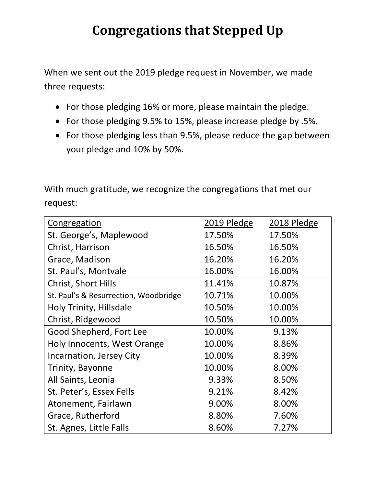# **Congregations that Stepped Up**

When we sent out the 2019 pledge request in November, we made three requests:

- For those pledging 16% or more, please maintain the pledge.
- For those pledging 9.5% to 15%, please increase pledge by .5%.
- For those pledging less than 9.5%, please reduce the gap between your pledge and 10% by 50%.

With much gratitude, we recognize the congregations that met our request:

| <b>Congregation</b>                   | 2019 Pledge | 2018 Pledge |
|---------------------------------------|-------------|-------------|
| St. George's, Maplewood               | 17.50%      | 17.50%      |
| Christ, Harrison                      | 16.50%      | 16.50%      |
| Grace, Madison                        | 16.20%      | 16.20%      |
| St. Paul's, Montvale                  | 16.00%      | 16.00%      |
| <b>Christ, Short Hills</b>            | 11.41%      | 10.87%      |
| St. Paul's & Resurrection, Woodbridge | 10.71%      | 10.00%      |
| Holy Trinity, Hillsdale               | 10.50%      | 10.00%      |
| Christ, Ridgewood                     | 10.50%      | 10.00%      |
| Good Shepherd, Fort Lee               | 10.00%      | 9.13%       |
| Holy Innocents, West Orange           | 10.00%      | 8.86%       |
| Incarnation, Jersey City              | 10.00%      | 8.39%       |
| Trinity, Bayonne                      | 10.00%      | 8.00%       |
| All Saints, Leonia                    | 9.33%       | 8.50%       |
| St. Peter's, Essex Fells              | 9.21%       | 8.42%       |
| Atonement, Fairlawn                   | 9.00%       | 8.00%       |
| Grace, Rutherford                     | 8.80%       | 7.60%       |
| St. Agnes, Little Falls               | 8.60%       | 7.27%       |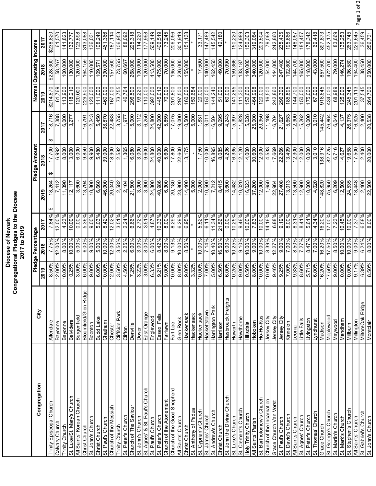|                                            |                          |                         | 2017 to 2019            |                    |                   |                  |                     |                     |                                 |                     |
|--------------------------------------------|--------------------------|-------------------------|-------------------------|--------------------|-------------------|------------------|---------------------|---------------------|---------------------------------|---------------------|
| Congregation                               | City                     |                         | Pledge Percentage       |                    |                   | Pledge Amount    |                     |                     | Normal Operating Income         |                     |
|                                            |                          | 2019                    | 2018                    | 2017               | 2019              | 2018             | 2017                | 2019                | 2018                            | 2017                |
| Trinity Episcopal Church                   | Allendale                | 8.50%                   | 7.75%                   | 7.84%              | 18,264<br>↮       | 17,700<br>↮      | 18,716<br>ക         | \$214,870           | \$228,300                       | \$238,820           |
| Calvary Church                             | Bayonne                  | 12.00%                  | 12.00%                  | 12.00%             | 7,412             | 6,992            | 7,388               | 61,769              | 58,267                          | 61,570              |
| Trinity Church                             | Bayonne                  | 10.00%                  | 8.00%                   | 4.23%              | 11,390            | 8,000            | 6,000               | 113,900             | 100,000                         | 141,823             |
| St. Luke/St. Mary's Church                 | <b>Belvidere</b>         | 10.25%                  | 10.00%                  | 10.00%             | 12,117            | 13,000           | 13,277              | 118,210             | 130,000                         | 132,777             |
| All Saints' Korean Church                  | Bergenfield              | $3.00\%$                | 5.00%                   | $0.00\%$           | 3,600             | 6,000            |                     | 120,000             | 120,000                         | 123,598             |
| Christ Church                              | Ridge<br>Bloomfield/Glen | 6.00%                   | 6.00%                   | 5.36%              | 13,794            | 9,850            | 16,791              | 229,900             | 164,159                         | 313,088             |
| St. John's Church                          | Boonton                  | 9.00%                   | 9.00%                   | 9.00%              | 10,800            | 9,900            | 12,243              | 120,000             | 110,000                         | 136,031             |
| Christ Church                              | <b>Budd Lake</b>         | 6.00%                   | 5.00%                   | 5.03%              | 6,660             | 5,480            | $\frac{6,450}{$     | $\frac{11,000}{2}$  | $\frac{109,571}{2}$             | $\frac{108,249}{ }$ |
| St. Paul's Church                          | Chatham                  | 10.00%                  | 10.00%                  | 8.42%              | 46,000            | 39,000           | 38,870              | 460,000             | 390,000                         | 461,366             |
| Church of the Messiah                      | Chester                  | 12.00%                  | 12.00%                  | 12.02%             | 20,040            | 18,900           | 22,483              | 167,000             | 157,500                         | 187,114             |
| Trinity Church                             | Cliffside Park           | 3.50%                   | 3.50%                   | 3.51%              | 2,582             | 2,582            | 3,755               | 73,755              | 73,755                          | 106,953             |
| St. Peter's Church                         | Clifton                  | $4.50\%$                | 2.25%                   | 2.24%              | 2,104             | 1,365            | 1,977               | 46,764              | 60,667                          | 88,092              |
| Church of The Saviour                      | Denville                 | 7.25%                   | 6.00%                   | 6.66%              | 21,500            | 16,080           | 15,000              | 296,500             | 268,000                         | 225,318             |
| St. John's Church                          | Dover                    | 3.22%                   | 3.00%                   | 2.72%              | 3,000             | 3,000            | 3,112               | 93,220              | 100,000                         | 114,220             |
| St. Agnes' & St. Paul's Church             | East Orange              | 3.00%                   | $\frac{900}{8.00\%}$    | $\frac{1}{3.51\%}$ | $\frac{3.300}{ }$ | 9.600            | $\frac{250}{6.250}$ | 110,000             | $\frac{120,000}{\frac{1}{200}}$ | $\sqrt{17,998}$     |
| St. Paul's Church                          | Englewood                | 6.33%                   | 6.00%                   | 4.87%              | 24,800            | 24,800           | 24,800              | 392,000             | 413,500                         | 509,149             |
| St. Peter's Church                         | Essex Fells              | 9.21%                   | 8.42%                   | 10.33%             | 40,986            | 40,000           | 42,000              | 445,012             | 475,000                         | 406,519             |
| Church of the Atonement                    | Fairlawn                 | 9.00%                   | 8.00%                   | 8.00%              | 6,300             | 5,600            | 5,859               | 70,000              | 70,000                          | 73,245              |
| Church of the Good Shepherd                | Fort Lee                 | 10.00%                  | 9.13%                   | 8.29%              | 20,180            | 17,800           | 17,075              | 201,800             | 195,000                         | 206,056             |
| All Saints' Church                         | Glen Rock                | $8.00\%$                | 10.00%                  | 6.29%              | 23,800            | 22,600           | 19,000              | 297,500             | 226,000                         | 301,919             |
| Christ Church                              | Hackensack               | 9.00%                   | 8.50%                   | 6.95%              | 14,400            | 13,175           | 10,500              | 160,000             | 155,000                         | 151,138             |
| St. Anthony of Padua                       | Hackensack               | $\frac{3.32\%}{2.32\%}$ |                         |                    | 5,000             |                  | 5,000               | 150,684             |                                 |                     |
| St. Cyprian's Church                       | Hackensack               | 10.00%                  | 10.00%                  | 5.52%              | 2,000             | 1,750            | 1,831               | 20,000              | 17,500                          | 33,171              |
| St. James' Church                          | Hackettstown             | 7.00%                   | 7.14%                   | 6.11%              | 10,500            | 10,000           | 9,011               | $\frac{150,000}{1}$ | 140,000                         | 147,489             |
| St. Andrew's Church                        | Harrington Park          | 5.00%                   | 10.40%                  | 11.34%             | 7,212             | 16,895           | 16,504              | 144,240             | 162,450                         | 145,542             |
| Christ Church                              | Harrison                 | 16.50%                  | 16.50%                  | 21.56%             | 8,415             | 8,085            | 9,095               | 51,000              | 49,000                          | 42,180              |
| St. John the Divine Church                 | Hasbrouck Heights        | $6.00\%$                | 6.00%                   | $0.00\%$           | 3,600             | 4,206            | 4,243               | 60,000              | 70,090                          |                     |
| St. Luke's Church                          | Haworth                  | 10.25%                  | 10.25%                  | 10.25%             | 14,482            | 16,335           | 15,397              | 141,285             | 159,366                         | 150,220             |
| St. Clement's Church                       | Hawthorne                | 9.00%                   | $\frac{9.10\%}{2.10\%}$ | 9.46%              | 10.020            | 12,120           | 11.828              | 111,300             | 133,187                         | 124,989             |
| Holy Trinity Church                        | Hillsdale                | 10.50%                  | 10.00%                  | 10.00%             | 16,023            | 14,000           | 15,028              | 152,600             | 140,000                         | 150,303             |
| All Saints' Parish                         | Hoboken                  | $8.00\%$                | 9.00%                   | 7.83%              | 37,200            | 30,600           | $\frac{25,000}{ }$  | 464,998             | 340,000                         | 319,084             |
| St. Bartholomew's Church                   | Ho-Ho-Kus                | 10.00%                  | 10.00%                  | 10.00%             | 12,000            | 12,000           | 20,350              | 120,000             | 120,000                         | 203,504             |
| Church of the Incarnation                  | Jersey City              | 10.00%                  | 8.39%                   | 14.16%             | 1,650             | 4,533            | 11,198              | 16,500              | 54,000                          | 79,068              |
| Grace Church Van Vorst                     | Jersey City              | 9.46%                   | 12.27%                  | 6.88%              | 22,964            | 17,669           | 16,704              | 242,860             | 144,000                         | 242,860             |
| St. Paul's Church                          | Jersey City              | 9.25%<br>7.00%          | 9.00%<br>7.00%          | 9.19%              | 27,408<br>13,013  | 22,266           | 15,653<br>21,627    | 296,300<br>185,895  | 247,400<br>192,800              | 235,435<br>195,666  |
| St. David's Church<br>All Saints Church    | Kinnelon<br>Leonia       | 9.33%                   | 8.50%                   | 8.00%<br>8.31%     | 13,500            | 13,499<br>12,300 | 12,300              | 144,700             | 144,700                         | 148,057             |
| St. Agnes' Church                          | Little Falls             | 8.60%                   | 7.27%                   | 8.41%              | 12,900            | 12,000           | 15,262              | 150,000             | 165,000                         | 181,457             |
|                                            |                          |                         | 8.47%                   | 5.61%              | 10,000            | 10,000           | 10,000              | 175,000             | 118,000                         | 178,342             |
| St. Thomas' Church<br>St. Peter's Church   | Livingston<br>Lyndhurst  | 5.71%<br>6.00%          | 7.00%                   | 4.34%              | 4,020             | 3,010            | 3,010               | 67,000              | 43,000                          | 69,418              |
| Grace Church                               | Madison                  | 16.20%                  | 16.20%                  | 16.20%             | 148,820           | 138,916          | 145,442             | 918,645             | 857,500                         | 897,873             |
|                                            |                          | $\sqrt{17.50\%}$        | 17.50%                  | 17.00%             | 75,950            | 82,725           | 76,864              | 434,000             | 472,700                         | 452,175             |
| St. George's Church<br>St. Martin's Church | Maplewood                | 9.00%                   | 8.50%                   | 7.23%              | 6,209             | 6,716            | 6,046               | 68,989              | 79,000                          | 83,669              |
| St. Mark's Church                          | Maywood                  | 10.00%                  | 10.00%                  | 10.45%             | 12.500            | 14.627           | 14,137              | 125,000             | 146,274                         | 135,253             |
| St. Stephen's Church                       | Mendham<br>Millburn      | 10.00%                  | 10.00%                  | 10.00%             | 24,535            | 19,658           | 26,375              | 245,345             | 196,580                         | 263,745             |
| All Saints' Church                         | Millington               | 9.17%                   | 9.00%                   | 7.37%              | 18,448            | 17,500           | 16,925              | 201,113             | 194,400                         | 229,645             |
| St. Gabriel's Church                       | Milton/Oak Ridge         | 6.39%                   | 6.24%                   | 6.58%              | 2,400             | 2,400            | 2,400               | 37,545              | 38,450                          | 36,459              |
| St. John's Church                          | Montclair                | 9605.8                  | 8.00%                   | 8.00%              | 22,500            | 20,000           | 20,538              | 264,700             | 250,000                         | 256,731             |
|                                            |                          |                         |                         |                    |                   |                  |                     |                     |                                 |                     |

Page 1 of 2

Diocese of Newark Congregational Pledges to the Diocese

Diocese of Newark<br>Congregational Pledges to the Diocese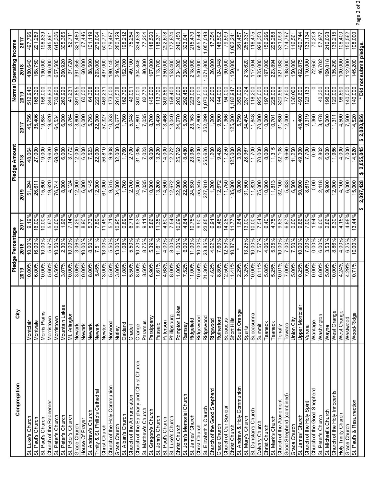| Congregation                             | City            |           | Pledge Percentage |        |                | Pledge Amount   |                    |                       | Normal Operating Income  |                   |
|------------------------------------------|-----------------|-----------|-------------------|--------|----------------|-----------------|--------------------|-----------------------|--------------------------|-------------------|
|                                          |                 | 2019      | 2018              | 2017   | 2019           | 2018            | 2017               | 2019                  | 2018                     | 2017              |
| St. Luke's Church                        | Montclair       | 10.00%    | 10.00%            | 9.19%  | 51,294         | 48,064          | 45,756             | 512,940               | 480,640                  | 497,796           |
| St. Paul's Church                        | Montvale        | 16.00%    | 16.00%            | 16.00% | 26,611         | 27,000          | 35,406             | 166,320               | 168,750                  | 221,289           |
| St. Paul's Church                        | Morris Plains   | $10.00\%$ | 10.00%            | 10.00% | 15,800         | 19,000          | 19,884             | 158,000               | 190,000                  | 198,839           |
| Church of the Redeemer                   | Morristown      | 5.66%     | 5.67%             | 5.67%  | 19,620         | 19,620          | 19,620             | 346,930               | 346,000                  | 345,861           |
| St. Peter's Church                       | Morristown      | 10.50%    | 10.50%            | 10.00% | 76.744         | 69,040          | 64,534             | 730,900               | 657.500                  | 645,336           |
| St. Peter's Church                       | Mountain Lakes  | 3.07%     | 2.30%             | 1.96%  | 8,000          | 6,000           | 6,000              | 260,920               | 260,920                  | 305,385           |
| St. Peter's Church                       | Mt. Arlington   | 10.00%    | 10.00%            | 7.14%  | 4,124          | 3,772           | 3,764              | 41,231                | 37,720                   | 52,711            |
| Grace Church                             | Newark          | 3.06%     | 3.06%             | 4.29%  | 12,000         | 12,000          | 13,800             | 391,855               | 391,855                  | 321,480           |
| House Of Prayer                          | Newark          | 10.00%    | 10.00%            | 8.90%  | 6,000          | 6,000           | 6,000              | 60,000                | 60,000                   | 67,446            |
| St. Andrew's Church                      | Newark          | 8.00%     | 8.50%             | 5.73%  | 5,145          | 7,523           | 5.793              | 64,308                | 88,500                   | 101,119           |
| Trinity & St. Philip's Cathedral         | Newark          | 5.45%     | 7.51%             | 7.89%  | 12,000         | 22,000          | 22,000             | 220,000               | 293,000                  | 279,004           |
| Christ Church                            | Newton          | 13.00%    | 13.00%            | 11.45% | 61,000         | 56,810          | 57,327             | 469,231               | 437,000                  | 500,771           |
| Church of the Holy Communion             | Norwood         | 5.50%     | 5.50%             | 5.71%  | 9,515          | 9,908           | 10,253             | 173,000               | 180,145                  | 179,487           |
| Grace Church                             | Nutley          | $13.00\%$ | 13.00%            | 10.95% | 34,000         | 32,000          | $\frac{30,677}{2}$ | 261,538               | 246,200                  | 280,129           |
| St. Alban's Church                       | Oakland         | 1.08%     | 1.08%             | 0.89%  | 1,760          | 1,760           | 1,760              | 162,700               | 162,700                  | 198,212           |
| Church of the Annunciation               | Oradell         | 5.50%     | 5.50%             | 6.71%  | 2,700          | 2,700           | 5,048              | 49,091                | 49,100                   | 75,254            |
| Church of the Epiphany and Christ Church | Orange          | 8.00%     | 10.20%            | 9.53%  | 24,000         | 31,085          | 31,891             | 300,000               | 304,846                  | 334,638           |
| St. Matthew's Church                     | Paramus         | 8.50%     | 8.75%             | 9.11%  | 7,035          | 7,023           | 7,035              | 82,770                | 80,300                   | 77,204            |
| St. Gregory's Church                     | Parsippany      | $6.90\%$  | 5.39%             | 5.86%  | 10,000         | 9,000           | 8,700              | 145,000               | 167,000                  | 148,520           |
| St. John's Church                        | Passaic         | 11.61%    | 11.61%            | 11.35% | 13,200         | 13,200          | 13,430             | 113,700               | 113,700                  | 118,371           |
| St. Paul's Church                        | Paterson        | 4.68%     | 4.00%             | 4.60%  | 14,500         | 14,000          | 13.466             | 309,869               | 350.000                  | 292.678           |
| St. Luke's Church                        | Phillipsburg    | 8.00%     | 8.00%             | 7.54%  | 12,672         | 12,272          | 13,040             | 158,400               | 153,400                  | $\sqrt{172,874}$  |
| Christ Church                            | Pompton Lakes   | 11.00%    | 11.00%            | 10.09% | 22,000         | 25,762          | 24,270             | $\frac{200,000}{200}$ | 234,200                  | 240,450           |
| St. John's Memorial Church               | Ramsey          | 7.52%     | 6.00%             | 4.64%  | 22,000         | 18,480          | 15,000             | 292,450               | 308,000                  | 323,041           |
| St. James' Church                        | Ridgefield      | 11.00%    | 11.00%            | 10.75% | 24,530         | 23,980          | 23,163             | 223,000               | 218,000                  | 215,470           |
| Christ Church                            | Ridgewood       | 10.50%    | 10.00%            | 9.50%  | 55,545         | 50,000          | 52,800             | 529,000               | 500,000                  | 555,543           |
| St. Elizabeth's Church                   | Ridgewood       | $21.30\%$ | 23.85%            | 23.85% | 227,910        | 255,626         | 252,099            | 1,070,000             | 071,800                  | ,057,018          |
| Church of the Good Shepherd              | Ringwood        | 4.62%     | 4.62%             | 6.91%  | 1,200          | 1,200           | 1,200              | 26,000                | 26,000                   | 17,354            |
| Grace Church                             | Rutherford      | 8.80%     | 7.60%             | 6.48%  | 12,672         | 9.428           | 9.500              | 144,000               | 124,048                  | 146,502           |
| Church of Our Saviour                    | Secaucus        | 12.50%    | 12.50%            | 14.28% | 11,750         | 11,250          | 11,366             | 94,000                | $\frac{90,000}{}$        | 79,599            |
| Christ Church                            | Short Hills     | 11.41%    | 10.87%            | 11.77% | 135,000        | 125,000         | 125,000            | ,182,947              | 1,150,000                | 1,062,24          |
| St. Andrew & Holy Communion              | South Orange    | 2.29%     |                   | 1.64%  | 8,000          | 3,000           | 5,750              | 350,000               |                          | 351,457           |
| St. Mary's Church                        | Sparta          | 13.25%    | 13.25%            | 13.00% | 31,500         | 28,967          | 34,494             | 237,724               | 218,620                  | 265,337           |
| St. Dunstan's Church                     | Succasunna      | $10.00\%$ | 10.00%            | 10.00% | 11,820         | 11,700          | 11,848             | 118,200               | 117,004                  | 118,475           |
| Calvary Church                           | Summit          | 8.11%     | 7.57%             | 7.54%  | 75,000         | 70,000          | 70,000             | 925,000               | 925,000                  | 928,350           |
| Christ Church                            | Teaneck         | 5.08%     | 4.06%             | 6.40%  | 10,000         | 8,000           | 10,000             | 197,000               | 197,000                  | 156,296           |
| St. Mark's Church                        | Teaneck         | 5.25%     | 5.05%             | 4.75%  | 11,813         | 11,315          | 10,701             | 225,000               | 223,894                  | 225,288           |
| Church of the Atonement                  | Tenafly         | 10.01%    | 10.00%            | 9.63%  | 32,100         | 32,108          | 31,880             | 320,568               | 321,082                  | 331,093           |
| Good Shepherd (combined)                 | Towaco          | 7.00%     | 7.00%             | 6.87%  | 5,433          | 9,660           | 12,000             | 77,600                | 138,000                  | 174,797           |
| Grace Church                             | Union City      | 5.00%     | 7.50%             | 0.00%  | 6,500          | 11,250          |                    | 130,000               | 150,000                  | 116,561           |
| St. James' Church                        | Upper Montclair | 10.25%    | 10.00%            | 9.86%  | 50,600         | 49,300          | 48,400             | 493,600               | 492,875                  | 490,744           |
| Church of the Holy Spirit                | Verona          | 7.00%     | 7.00%             | 7.00%  | 8,619          | 7,700           | 9,319              | 123,133               | 110,000                  | 133,134           |
| Church of the Good Shepherd              | Wantage         | 0.00%     | 0.00%             | 1.94%  | $\frac{8}{10}$ | $\frac{8}{10}$  | 1,360              |                       | 72,650                   | 70,208            |
| St. Peter's Church                       | Washington      | 6.00%     | 6.00%             | 6.00%  | 2,418          | 2,802           | 3,478              | 40,300                | 46,702                   | 57,977            |
| St. Michael's Church                     | Wayne           | 5.00%     | 3.53%             | 2.86%  | 9,900          | 6.000           | 6.000              | 198,000               | 169,818                  | 210,028           |
| Church of the Holy Innocents             | West Orange     | $10.00\%$ | 8.86%             | 8.30%  | 12,000         | 11,986          | 11,311             | 120,000               | 135,290                  | 136,215           |
| <b>Holy Trinity Church</b>               | West Orange     | 4.24%     | 4.00%             | 4.15%  | 4,100          | 4,000           | 4,500              | 96,690                | 100,000                  | $\frac{108,400}{$ |
| Grace Church                             | Westwood        | 4.29%     | 6.25%             | 4.98%  | 6,000          | 7,000           | 7,500              | 140,000               | 112,000                  | 150,562           |
| St. Paul's & Resurrection                | Wood-Ridge      | 10.71%    | 10.00%            | 13.44% | 15,000         | 14,520          | 14,520             | 140,000               | 145,200                  | 108,000           |
|                                          |                 |           |                   |        | 2,097,428      | 2,055,045<br>မာ | 2,080,956          |                       | * Did not submit pledge. |                   |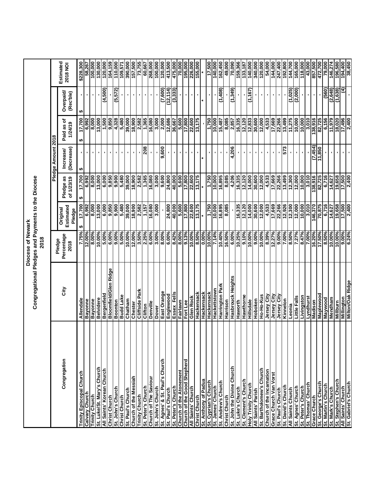|                                                     |                                                    | Diocese of Newark            |                                 |                         |                        |                       |                       |                       |
|-----------------------------------------------------|----------------------------------------------------|------------------------------|---------------------------------|-------------------------|------------------------|-----------------------|-----------------------|-----------------------|
|                                                     | Congregational Pledges and Payments to the Diocese | 2018                         |                                 |                         |                        |                       |                       |                       |
|                                                     |                                                    |                              |                                 |                         | Pledge Amount 2018     |                       |                       |                       |
| Congregation                                        | City                                               | Percentage<br>Pledge<br>2018 | Estimated<br>Original<br>Pledge | Pledge as<br>of 1/23/19 | (Decrease)<br>Increase | Paid as of<br>1/24/19 | Overpaid<br>(Rec'ble) | Estimated<br>2018 NOI |
| Trinity Episcopal Church                            | Allendale                                          | 7.75%                        | 17,700<br>မာ                    | 17,700<br>↮             | ↮                      | 17,700<br>↮           | $\mathbf{I}$<br>↮     | \$228,300             |
| Calvary Church                                      | Bayonne                                            | $12.00\%$                    | 6,992                           | 6,992                   |                        | 6,992                 |                       | 58,267                |
| Trinity Church                                      | <b>Bayonne</b>                                     | 8.00%                        | 8,000                           | 8,000                   | $\blacksquare$         | 8,000                 | $\blacksquare$        | 100,000               |
| St. Luke/St. Mary's Church                          | <b>Belvidere</b>                                   | 10.00%                       | 13,000                          | 13,000                  |                        | 13,000                |                       | 130,000               |
| All Saints' Korean Church                           | Bergenfield                                        | 5.00%                        | 6,000                           | 6,000                   |                        | 1,500                 | (0.65)                | 120,000               |
| <b>Christ Church</b>                                | Bloomfield/Glen Ridge                              | 6.00%                        | 9,850                           | 0.850                   | $\blacksquare$         | 9,850                 |                       | 164,159               |
| St. John's Church                                   | Boonton                                            | $9.00\%$                     | 9,900                           | 9,900                   |                        | 4,328                 | (5,572)               | 110,000               |
| <b>Christ Church</b>                                | <b>Budd Lake</b>                                   | 5.00%                        | 5,480                           | 5,480                   |                        | 5,480                 |                       | 109,571               |
| St. Paul's Church                                   | Chatham                                            | $10.00\%$                    | 39,000                          | 39,000                  |                        | 39,000                | $\blacksquare$        | 390,000               |
| Church of the Messiah                               | Chester                                            | $12.00\%$                    | 18,900                          | 18,900                  | ı                      | 18,900                | $\blacksquare$        | 157,500               |
| <b>Trinity Church</b>                               | Cliffside Park                                     | 3.50%                        | 2,582                           | 2,582                   |                        | 2,582                 | $\blacksquare$        | 73,755                |
| St. Peter's Church                                  | Clifton                                            | 2.25%                        | 1,157                           | 1,365                   | 208                    | 1,365                 | ٠                     | 60,667                |
| Church of The Saviour                               | Denville                                           | 6.00%                        | 16,080                          | 16,080                  |                        | 16,080                |                       | 268,000               |
| St. John's Church                                   | Dover                                              | 3.00%                        | 3,000                           | 3,000                   |                        | 3,000                 |                       | 100,000               |
| St. Agnes' & St. Paul's Church                      | East Orange                                        | 8.00%                        |                                 | 9,600                   | 9,600                  | 2,000                 | (7,600)               | 120,000               |
| St. Paul's Church                                   | Englewood                                          | $6.00\%$                     | 24,800                          | 24,800                  |                        | 12,686                | (12, 114)             | 413,500               |
| St. Peter's Church                                  | Essex Fells                                        | 8.42%                        | 40,000                          | 40,000                  | $\blacksquare$         | 36,667                | (3,333)               | 475,000               |
| Church of the Atonement                             | Fairlawn                                           | 8.00%                        | 5,600                           | 5,600                   | $\mathbf{L}_{\rm{c}}$  | 5,600                 |                       | 70,000                |
| Church of the Good Shepherd                         | Fort Lee                                           | 9.13%                        | 17,800                          | 17,800                  | $\blacksquare$         | 17,800                | $\blacksquare$        | 195,000               |
| All Saints' Church                                  | Glen Rock                                          | $10.00\%$                    | 22,600                          | 22,600                  | ٠                      | 22,600                | $\blacksquare$        | 226,000               |
| <b>Christ Church</b>                                | Hackensack                                         | $8.50\%$                     | 13,175                          | 13,175                  | $\blacksquare$         | 13,175                |                       | 155,000               |
| St. Anthony of Padua                                | Hackensack                                         | 0.00%                        |                                 |                         |                        |                       |                       |                       |
| St. Cyprian's Church                                | Hackensack                                         | 10.00%                       | 1,750                           | 1,750                   | $\blacksquare$         | 1,750                 | $\blacksquare$        | 17,500                |
| St. James' Church                                   | Hackettstown                                       | 7.14%                        | 10,000                          | 10,000                  | $\blacksquare$         | 10,000                |                       | 140,000               |
| St. Andrew's Church                                 | Harrington Park                                    | 10.40%                       | 16,895                          | 16,895                  | ×                      | 15,487                | (1,408)               | 162,450               |
| <b>Christ Church</b>                                | Harrison                                           | 16.50%                       | 8,085                           | 8,085                   |                        | 8,085                 |                       | 49,000                |
| St. John the Divine Church                          | Hasbrouck Heights                                  | $6.00\%$                     |                                 | 4,206                   | 4,206                  | 2,857                 | (1,349)               | 70,090                |
| St. Luke's Church                                   | Haworth                                            | 10.25%                       | 16,335                          | 16,335                  |                        | 16,335                |                       | 159,366               |
| St. Clement's Church                                | Hawthorne                                          | 9.10%                        | 12,120                          | 12,120                  |                        | 12,120                |                       | 133,187               |
| Holy Trinity Church                                 | Hillsdale                                          | 10.00%                       | 14,000                          | 14,000                  | $\blacksquare$         | 12,833                | (1,167)               | 140,000               |
| All Saints' Parish                                  | Hoboken                                            | 9.00%                        | 30,600                          | 30,600                  | ٠                      | 30,600                |                       | 340,000               |
| St. Bartholomew's Church                            | Ho-Ho-Kus                                          | $10.00\%$<br>8.39%           | 12,000                          | 12,000                  |                        | 12,000                | $\blacksquare$        | 120,000<br>54,000     |
| Church of the Incarnation<br>Grace Church Van Vorst | Jersey City<br>Jersey City                         | 12.27%                       | 4,533<br>17,669                 | 4,533<br>17,669         | $\blacksquare$         | 4,533<br>17,669       | $\blacksquare$        | 144,000               |
| St. Paul's Church                                   | <b>Jersey City</b>                                 | 9.00%                        | 22,266                          | 22,266                  | ٠                      | 22,266                | ٠                     | 247,400               |
| St. David's Church                                  | Kinnelon                                           | 7.00%                        | 12,926                          | 13,499                  | 573                    | 13,499                |                       | 192,800               |
| All Saints Church                                   | Leonia                                             | 8.50%                        | 12,300                          | 12,300                  | ٠                      | 11,275                | (1,025)               | 144,700               |
| St. Agnes' Church                                   | Little Falls                                       | 7.27%                        | 12,000                          | 12,000                  |                        | 10,000                | (2,000)               | 165,000               |
| St. Peter's Church                                  | Livingston                                         | 8.47%                        | 10,000                          | 10,000                  | $\blacksquare$         | 10,000                |                       | 118,000               |
| St. Thomas' Church                                  | Lyndhurst                                          | 7.00%                        | 3,010                           | 3,010                   |                        | 3,010                 | ٠                     | 43,000                |
| Grace Church                                        | Madison                                            | 16.20%                       | 146,370                         | 138,916                 | (7,454)                | 138,916               | $\blacksquare$        | 857,500               |
| St. George's Church                                 | Maplewood                                          | 17.50%                       | 70,875                          | 82,725                  | 11,850                 | 82,725                | $\blacksquare$        | 472,700               |
| St. Martin's Church                                 | Maywood                                            | 8.50%                        | 6,716                           | 6,716                   |                        | 6,156                 | (560)                 | 79,000                |
| St. Mark's Church                                   | Mendham                                            | $10.00\%$                    | 14,627                          | 14,627                  |                        | 11,979                | (2,648)               | 146,274               |
| St. Stephen's Church                                | Millburn                                           | 10.00%                       | 19,658                          | 19,658                  | $\blacksquare$         | 18,020                | (1,638)               | 196,580               |
| All Saints' Church                                  | Millington                                         | $9.00\%$                     | 17,500                          | 17,500                  |                        | 17,496                | €                     | 194,400               |
| St. Gabriel's Church                                | <b>Milton/Oak Ridge</b>                            | 6.24%                        | 2,400                           | 2,400                   |                        | 2,400                 |                       | 38,450                |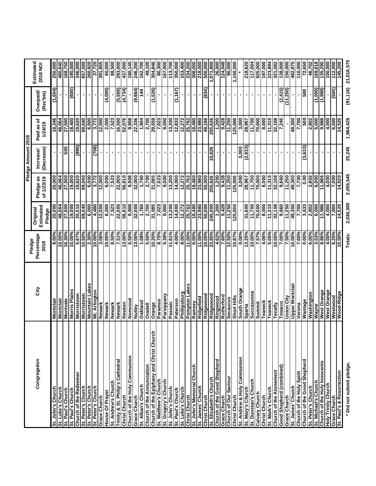|                                             |                        |                      |                     |            | Pledge Amount 2018 |            |                     |            |
|---------------------------------------------|------------------------|----------------------|---------------------|------------|--------------------|------------|---------------------|------------|
| Congregation                                | City                   | Percentage<br>Pledge | Origina             | Pledge as  | Increase           | Paid as of | Overpaid/           | Estimated  |
|                                             |                        | 2018                 | Estimated<br>Pledge | of 1/23/19 | (Decrease)         | 1/24/19    | (Rec'ble)           | 2018 NOI   |
| St. John's Church                           | Montclai               | 8.00%                | 20,000              | 20,000     |                    | 18,346     | (1,654)             | 250,000    |
| St. Luke's Church                           | Montclair              | $10.00\%$            | 48,064              | 48,064     |                    | 48,064     |                     | 480,640    |
| St. Paul's Church                           | Montvale               | 16.30%               | 27.000              | 27,500     | 500                | 27,500     | $\blacksquare$      | 168,750    |
| St. Paul's Church                           | Morris Plains          | $10.00\%$            | 19,000              | 19,000     |                    | 18,400     | (600)               | 190,000    |
| Church of the Redeemer                      | Morristown             | 5.67%                | 20,510              | 19,620     | (890)              | 19,620     |                     | 346,000    |
| St. Peter's Church                          | Morristown             | 10.50%               | 69,040              | 69,040     |                    | 69,040     | $\blacksquare$      | 657,500    |
| St. Peter's Church                          | Mountain Lakes         | 2.30%                | 6,000               | 6,000      |                    | 6,000      | ٠                   | 260,920    |
| St. Peter's Church                          | Mt. Arlington          | $10.00\%$            | 4,480               | 3,772      | (80Z)              | 3,772      |                     | 37,720     |
| Grace Church                                | Newark                 | 3.06%                | 12,000              | 12,000     |                    | 12,000     |                     | 391,855    |
| House Of Prayer                             | Newark                 | $10.00\%$            | 6,000               | 6,000      |                    | 2,000      | (4,000)             | 60,000     |
| St. Andrew's Church                         | Newark                 | 8.50%                | 7,523               | 7,523      |                    | 7,523      |                     | 88,500     |
| Trinity & St. Philip's Cathedral            | Newark                 | 7.51%                | 22.000              | 22.000     |                    | 16.500     | (5,500)             | 293,000    |
| <b>Christ Church</b>                        | Newton                 | $13.00\%$            | 56,810              | 56,810     |                    | 52,076     | (4,734)             | 437,000    |
| Church of the Holy Communion                | Norwood                | 5.50%                | 9,908               | 9,908      |                    | 9,908      |                     | 180,145    |
| Grace Church                                | Nutley                 | 13.00%               | 32,000              | 32,000     |                    | 22,336     | (9,664)             | 246,200    |
| St. Alban's Church                          | Oakland                | 1.08%                | 1,760               | 1,760      |                    | 1,904      | 44                  | 162,700    |
| <b>Church of the Annunciation</b>           | Oradell                | 5.50%                | 2,700               | 2,700      |                    | 2,700      |                     | 49,100     |
| 동<br>Church of the Epiphany and Christ Chur | Orange                 | 10.20%               | 31,085              | 31,085     |                    | 29,559     | (1,526)             | 304,846    |
| St. Matthew's Church                        | Paramus                | 8.75%                | 7,023               | 7,023      |                    | 7,023      | $\blacksquare$      | 80,300     |
| St. Gregory's Church                        | Parsippany             | 5.39%                | 9,000               | 9,000      |                    | 000'6      |                     | 167,000    |
| St. John's Church                           | Passaic                | 11.61%               | 13,200              | 13,200     |                    | 13,200     |                     | 113,700    |
| St. Paul's Church                           | Paterson               | 4.00%                | 14,000              | 14,000     |                    | 12,833     | (1,167)             | 350,000    |
| St. Luke's Church                           | Phillipsburg           | 8.00%                | 12,272              | 12,272     |                    | 12,272     |                     | 153,400    |
| Christ Church                               | Pompton Lakes          | 11.00%               | 25,762              | 25,762     |                    | 25,762     | $\blacksquare$      | 234,200    |
| St. John's Memorial Church                  | Ramsey                 | 6.00%                | 18,480              | 18,480     |                    | 18,480     | ×,                  | 308,000    |
| St. James' Church                           | Ridgefield             | 11.00%               | 23,980              | 23,980     |                    | 23,980     |                     | 218,000    |
| Christ Church                               | Ridgewood              | $10.00\%$            | 50,000              | 50,000     |                    | 49,166     | (834)               | 500,000    |
| St. Elizabeth's Church                      | Ridgewood              | 23.85%               | 245,000             | 255,626    | 10,626             | 255,626    | ٠                   | 1,071,800  |
| Church of the Good Shepherd                 | Ringwood               | 4.62%                | 1,200               | 1,200      |                    | 1,200      | ٠                   | 26,000     |
| Grace Church                                | Rutherford             | 7.60%                | 9,428               | 9,428      |                    | 9,428      | $\blacksquare$      | 124,048    |
| Church of Our Saviour                       | <b>Secaucus</b>        | 12.50%               | 11,250              | 11,250     | ٠                  | 11,250     | ٠                   | 90,000     |
| <b>Christ Church</b>                        | Short Hills            | 10.87%               | 125,000             | 125,000    |                    | 125,000    | $\blacksquare$      | 1,150,000  |
| St. Andrew & Holy Communion                 | South Orange           | $0.00\%$             |                     | 3,000      | 3,000              | 3,000      |                     |            |
| St. Mary's Church                           | Sparta                 | 13.25%               | 31,600              | 28,967     | (2, 633)           | 28,967     |                     | 218,620    |
| St. Dunstan's Church                        | Succasunna             | 10.00%               | 11,700              | 11,700     |                    | 11,700     |                     | 117,004    |
| Calvary Church                              | Summit                 | 7.57%                | 70,000              | 70,000     |                    | 70,000     | $\blacksquare$      | 925,000    |
| Christ Church                               | Teaneck                | 4.06%                | 8,000               | 8,000      |                    | 8.000      |                     | 197,000    |
| St. Mark's Church                           | Teaneck                | 5.05%                | 11,315              | 11,315     |                    | 11,315     |                     | 223,894    |
| Church of the Atonement                     | Tenafly                | 10.00%               | 32,108              | 32,108     |                    | 32,108     | J,                  | 321,082    |
| Good Shepherd (combined)                    | Towaco                 | 7.00%                | 9,660               | 9,660      |                    | 7,245      | (2,415)             | 138,000    |
| Grace Church                                | Union City             | 7.50%                | 11,250              | 11,250     |                    |            | (11,250)            | 150,000    |
| St. James' Church                           | <b>Upper Montclain</b> | 10.00%               | 49,300              | 49,300     |                    | 49,300     |                     | 492,875    |
| Church of the Holy Spirit                   | Verona                 | 7.00%                | 7,700               | 7,700      |                    | 7,700      |                     | 110,000    |
| Church of the Good Shepherd                 | Wantage                | 0.00%                | 3,633               | 0.00       | (3,633)            | 500        | 500                 | 72,650     |
| St. Peter's Church                          | Washington             | 6.00%                | 2,802               | 2,802      |                    | 2,802      |                     | 46,702     |
| St. Michael's Church                        | Wayne                  | 3.53%                | 6,000               | 6,000      |                    | 5,000      | (1,000)             | 169,818    |
| Church of the Holy Innocents                | West Orange            | 8.86%                | 11,986              | 11,986     |                    | 886'6      | (866 <sup>'</sup> ) | 135,290    |
| Holy Trinity Church                         | West Orange            | 4.00%                | 4,000               | 4,000      |                    | 4,000      |                     | 100,000    |
| Grace Church                                | Westwood               | 6.25%                | 7,000               | 7.000      |                    | 6,500      | (500)               | 112,000    |
| St. Paul's & Resurrection                   | Wood-Ridge             | $10.00\%$            | 14,520              | 14,520     |                    | 14,520     |                     | 145,200    |
| * Did not submit pledge.                    |                        | <b>Totals:</b>       | 2,030,300           | 2,055,545  | 25.245             | 1,964,429  | (91, 116)           | 21,016,575 |